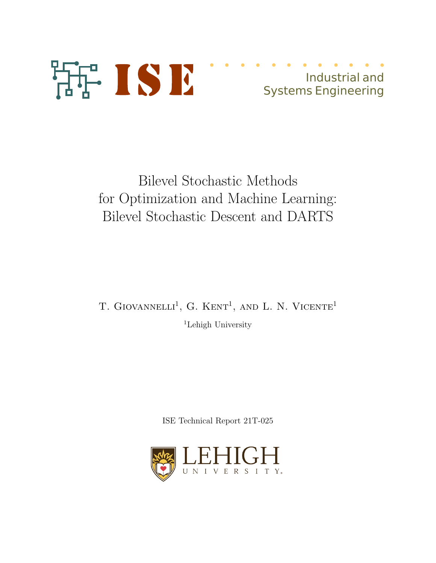

# Industrial and Systems Engineering

# Bilevel Stochastic Methods for Optimization and Machine Learning: Bilevel Stochastic Descent and DARTS

T. GIOVANNELLI<sup>1</sup>, G. KENT<sup>1</sup>, AND L. N. VICENTE<sup>1</sup> <sup>1</sup>Lehigh University

ISE Technical Report 21T-025

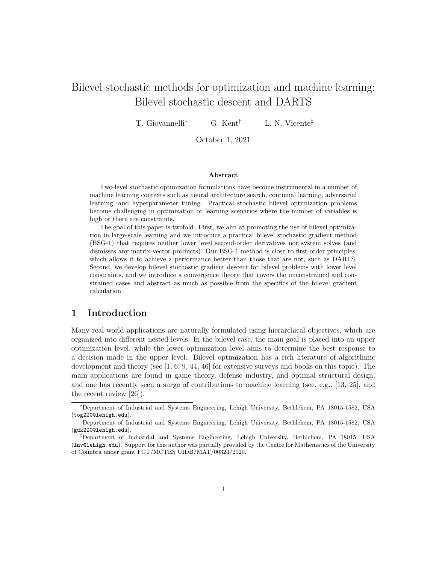# Bilevel stochastic methods for optimization and machine learning: Bilevel stochastic descent and DARTS

T. Giovannelli<sup>∗</sup> G. Kent<sup>†</sup> L. N. Vicente<sup>‡</sup>

October 1, 2021

#### Abstract

Two-level stochastic optimization formulations have become instrumental in a number of machine learning contexts such as neural architecture search, continual learning, adversarial learning, and hyperparameter tuning. Practical stochastic bilevel optimization problems become challenging in optimization or learning scenarios where the number of variables is high or there are constraints.

The goal of this paper is twofold. First, we aim at promoting the use of bilevel optimization in large-scale learning and we introduce a practical bilevel stochastic gradient method (BSG-1) that requires neither lower level second-order derivatives nor system solves (and dismisses any matrix-vector products). Our BSG-1 method is close to first-order principles, which allows it to achieve a performance better than those that are not, such as DARTS. Second, we develop bilevel stochastic gradient descent for bilevel problems with lower level constraints, and we introduce a convergence theory that covers the unconstrained and constrained cases and abstract as much as possible from the specifics of the bilevel gradient calculation.

### 1 Introduction

Many real-world applications are naturally formulated using hierarchical objectives, which are organized into different nested levels. In the bilevel case, the main goal is placed into an upper optimization level, while the lower optimization level aims to determine the best response to a decision made in the upper level. Bilevel optimization has a rich literature of algorithmic development and theory (see [1, 6, 9, 44, 46] for extensive surveys and books on this topic). The main applications are found in game theory, defense industry, and optimal structural design, and one has recently seen a surge of contributions to machine learning (see, e.g., [13, 25], and the recent review [26]).

<sup>∗</sup>Department of Industrial and Systems Engineering, Lehigh University, Bethlehem, PA 18015-1582, USA (tog220@lehigh.edu).

<sup>†</sup>Department of Industrial and Systems Engineering, Lehigh University, Bethlehem, PA 18015-1582, USA (gdk220@lehigh.edu).

<sup>‡</sup>Department of Industrial and Systems Engineering, Lehigh University, Bethlehem, PA 18015, USA (lnv@lehigh.edu). Support for this author was partially provided by the Centre for Mathematics of the University of Coimbra under grant FCT/MCTES UIDB/MAT/00324/2020.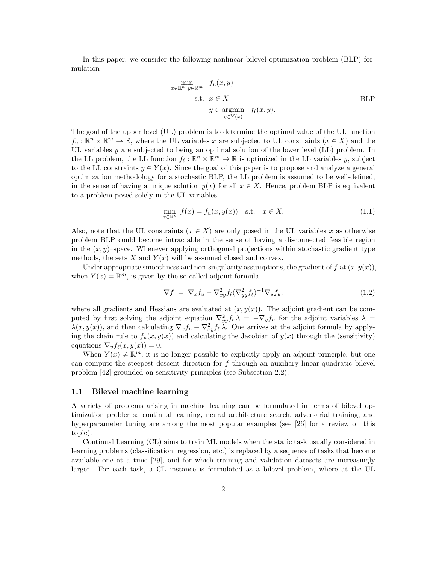In this paper, we consider the following nonlinear bilevel optimization problem (BLP) formulation

$$
\min_{x \in \mathbb{R}^n, y \in \mathbb{R}^m} f_u(x, y)
$$
\n
$$
\text{s.t. } x \in X
$$
\n
$$
y \in \operatorname*{argmin}_{y \in Y(x)} f_\ell(x, y).
$$
\n
$$
\text{BLP}
$$

The goal of the upper level (UL) problem is to determine the optimal value of the UL function  $f_u : \mathbb{R}^n \times \mathbb{R}^m \to \mathbb{R}$ , where the UL variables x are subjected to UL constraints  $(x \in X)$  and the UL variables  $y$  are subjected to being an optimal solution of the lower level (LL) problem. In the LL problem, the LL function  $f_\ell : \mathbb{R}^n \times \mathbb{R}^m \to \mathbb{R}$  is optimized in the LL variables y, subject to the LL constraints  $y \in Y(x)$ . Since the goal of this paper is to propose and analyze a general optimization methodology for a stochastic BLP, the LL problem is assumed to be well-defined, in the sense of having a unique solution  $y(x)$  for all  $x \in X$ . Hence, problem BLP is equivalent to a problem posed solely in the UL variables:

$$
\min_{x \in \mathbb{R}^n} f(x) = f_u(x, y(x)) \quad \text{s.t.} \quad x \in X. \tag{1.1}
$$

Also, note that the UL constraints  $(x \in X)$  are only posed in the UL variables x as otherwise problem BLP could become intractable in the sense of having a disconnected feasible region in the  $(x, y)$ –space. Whenever applying orthogonal projections within stochastic gradient type methods, the sets X and  $Y(x)$  will be assumed closed and convex.

Under appropriate smoothness and non-singularity assumptions, the gradient of f at  $(x, y(x))$ , when  $Y(x) = \mathbb{R}^m$ , is given by the so-called adjoint formula

$$
\nabla f = \nabla_x f_u - \nabla_{xy}^2 f_\ell (\nabla_{yy}^2 f_\ell)^{-1} \nabla_y f_u,
$$
\n(1.2)

where all gradients and Hessians are evaluated at  $(x, y(x))$ . The adjoint gradient can be computed by first solving the adjoint equation  $\nabla_{yy}^2 f_\ell \lambda = -\nabla_y f_u$  for the adjoint variables  $\lambda =$  $\lambda(x, y(x))$ , and then calculating  $\nabla_x f_u + \nabla^2_{xy} f_\ell \lambda$ . One arrives at the adjoint formula by applying the chain rule to  $f_u(x, y(x))$  and calculating the Jacobian of  $y(x)$  through the (sensitivity) equations  $\nabla_y f_{\ell}(x, y(x)) = 0.$ 

When  $Y(x) \neq \mathbb{R}^m$ , it is no longer possible to explicitly apply an adjoint principle, but one can compute the steepest descent direction for  $f$  through an auxiliary linear-quadratic bilevel problem [42] grounded on sensitivity principles (see Subsection 2.2).

#### 1.1 Bilevel machine learning

A variety of problems arising in machine learning can be formulated in terms of bilevel optimization problems: continual learning, neural architecture search, adversarial training, and hyperparameter tuning are among the most popular examples (see [26] for a review on this topic).

Continual Learning (CL) aims to train ML models when the static task usually considered in learning problems (classification, regression, etc.) is replaced by a sequence of tasks that become available one at a time [29], and for which training and validation datasets are increasingly larger. For each task, a CL instance is formulated as a bilevel problem, where at the UL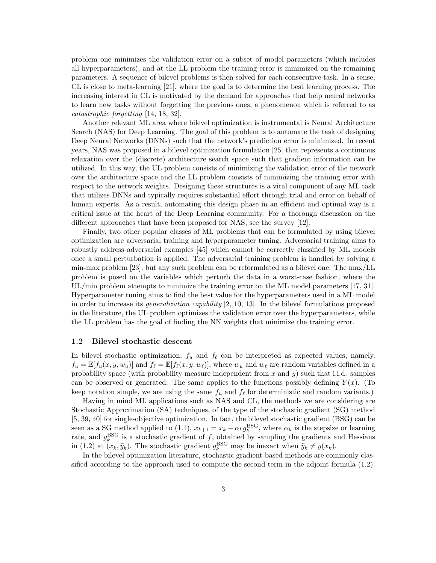problem one minimizes the validation error on a subset of model parameters (which includes all hyperparameters), and at the LL problem the training error is minimized on the remaining parameters. A sequence of bilevel problems is then solved for each consecutive task. In a sense, CL is close to meta-learning [21], where the goal is to determine the best learning process. The increasing interest in CL is motivated by the demand for approaches that help neural networks to learn new tasks without forgetting the previous ones, a phenomenon which is referred to as catastrophic forgetting [14, 18, 32].

Another relevant ML area where bilevel optimization is instrumental is Neural Architecture Search (NAS) for Deep Learning. The goal of this problem is to automate the task of designing Deep Neural Networks (DNNs) such that the network's prediction error is minimized. In recent years, NAS was proposed in a bilevel optimization formulation [25] that represents a continuous relaxation over the (discrete) architecture search space such that gradient information can be utilized. In this way, the UL problem consists of minimizing the validation error of the network over the architecture space and the LL problem consists of minimizing the training error with respect to the network weights. Designing these structures is a vital component of any ML task that utilizes DNNs and typically requires substantial effort through trial and error on behalf of human experts. As a result, automating this design phase in an efficient and optimal way is a critical issue at the heart of the Deep Learning community. For a thorough discussion on the different approaches that have been proposed for NAS, see the survey [12].

Finally, two other popular classes of ML problems that can be formulated by using bilevel optimization are adversarial training and hyperparameter tuning. Adversarial training aims to robustly address adversarial examples [45] which cannot be correctly classified by ML models once a small perturbation is applied. The adversarial training problem is handled by solving a min-max problem [23], but any such problem can be reformulated as a bilevel one. The max/LL problem is posed on the variables which perturb the data in a worst-case fashion, where the UL/min problem attempts to minimize the training error on the ML model parameters [17, 31]. Hyperparameter tuning aims to find the best value for the hyperparameters used in a ML model in order to increase its *generalization capability*  $[2, 10, 13]$ . In the bilevel formulations proposed in the literature, the UL problem optimizes the validation error over the hyperparameters, while the LL problem has the goal of finding the NN weights that minimize the training error.

#### 1.2 Bilevel stochastic descent

In bilevel stochastic optimization,  $f_u$  and  $f_\ell$  can be interpreted as expected values, namely,  $f_u = \mathbb{E}[f_u(x, y, w_u)]$  and  $f_{\ell} = \mathbb{E}[f_{\ell}(x, y, w_{\ell})]$ , where  $w_u$  and  $w_{\ell}$  are random variables defined in a probability space (with probability measure independent from  $x$  and  $y$ ) such that i.i.d. samples can be observed or generated. The same applies to the functions possibly defining  $Y(x)$ . (To keep notation simple, we are using the same  $f_u$  and  $f_\ell$  for deterministic and random variants.)

Having in mind ML applications such as NAS and CL, the methods we are considering are Stochastic Approximation (SA) techniques, of the type of the stochastic gradient (SG) method [5, 39, 40] for single-objective optimization. In fact, the bilevel stochastic gradient (BSG) can be seen as a SG method applied to (1.1),  $x_{k+1} = x_k - \alpha_k g_k^{\text{BSG}}$ , where  $\alpha_k$  is the stepsize or learning rate, and  $g_k^{\text{BSG}}$  is a stochastic gradient of f, obtained by sampling the gradients and Hessians in (1.2) at  $(x_k, \tilde{y}_k)$ . The stochastic gradient  $g_k^{\text{BSG}}$  may be inexact when  $\tilde{y}_k \neq y(x_k)$ .

In the bilevel optimization literature, stochastic gradient-based methods are commonly classified according to the approach used to compute the second term in the adjoint formula (1.2).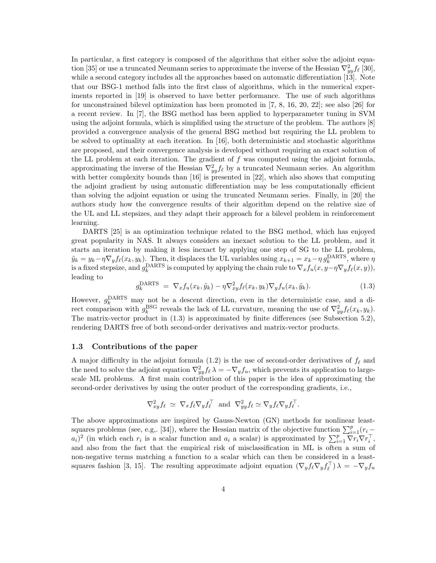In particular, a first category is composed of the algorithms that either solve the adjoint equation [35] or use a truncated Neumann series to approximate the inverse of the Hessian  $\nabla_{yy}^2 f_\ell$  [30], while a second category includes all the approaches based on automatic differentiation [13]. Note that our BSG-1 method falls into the first class of algorithms, which in the numerical experiments reported in [19] is observed to have better performance. The use of such algorithms for unconstrained bilevel optimization has been promoted in [7, 8, 16, 20, 22]; see also [26] for a recent review. In [7], the BSG method has been applied to hyperparameter tuning in SVM using the adjoint formula, which is simplified using the structure of the problem. The authors [8] provided a convergence analysis of the general BSG method but requiring the LL problem to be solved to optimality at each iteration. In [16], both deterministic and stochastic algorithms are proposed, and their convergence analysis is developed without requiring an exact solution of the LL problem at each iteration. The gradient of  $f$  was computed using the adjoint formula, approximating the inverse of the Hessian  $\nabla_{yy}^2 f_\ell$  by a truncated Neumann series. An algorithm with better complexity bounds than [16] is presented in [22], which also shows that computing the adjoint gradient by using automatic differentiation may be less computationally efficient than solving the adjoint equation or using the truncated Neumann series. Finally, in [20] the authors study how the convergence results of their algorithm depend on the relative size of the UL and LL stepsizes, and they adapt their approach for a bilevel problem in reinforcement learning.

DARTS [25] is an optimization technique related to the BSG method, which has enjoyed great popularity in NAS. It always considers an inexact solution to the LL problem, and it starts an iteration by making it less inexact by applying one step of SG to the LL problem,  $\tilde{y}_k = y_k - \eta \nabla_y f_\ell(x_k, y_k)$ . Then, it displaces the UL variables using  $x_{k+1} = x_k - \eta g_k^{\text{DARTS}}$ , where  $\eta$ is a fixed stepsize, and  $g_k^{\text{DARTS}}$  is computed by applying the chain rule to  $\nabla_x f_u(x, y - \eta \nabla_y f_\ell(x, y))$ , leading to

$$
g_k^{\text{DARTS}} = \nabla_x f_u(x_k, \tilde{y}_k) - \eta \nabla_{xy}^2 f_\ell(x_k, y_k) \nabla_y f_u(x_k, \tilde{y}_k).
$$
\n(1.3)

However,  $g_k^{\text{DARTS}}$  may not be a descent direction, even in the deterministic case, and a direct comparison with  $g_k^{\text{BSG}}$  reveals the lack of LL curvature, meaning the use of  $\nabla^2_{yy} f_{\ell}(x_k, y_k)$ . The matrix-vector product in (1.3) is approximated by finite differences (see Subsection 5.2), rendering DARTS free of both second-order derivatives and matrix-vector products.

#### 1.3 Contributions of the paper

A major difficulty in the adjoint formula (1.2) is the use of second-order derivatives of  $f_\ell$  and the need to solve the adjoint equation  $\nabla_{yy}^2 f_\ell \lambda = -\nabla_y f_u$ , which prevents its application to largescale ML problems. A first main contribution of this paper is the idea of approximating the second-order derivatives by using the outer product of the corresponding gradients, i.e.,

$$
\nabla_{xy}^2 f_\ell \simeq \nabla_x f_\ell \nabla_y f_\ell^\top \text{ and } \nabla_{yy}^2 f_\ell \simeq \nabla_y f_\ell \nabla_y f_\ell^\top.
$$

The above approximations are inspired by Gauss-Newton (GN) methods for nonlinear leastsquares problems (see, e.g., [34]), where the Hessian matrix of the objective function  $\sum_{i=1}^{p} (r_i (a_i)^2$  (in which each  $r_i$  is a scalar function and  $a_i$  a scalar) is approximated by  $\sum_{i=1}^p \overline{\nabla r_i} \nabla r_i^\top,$ and also from the fact that the empirical risk of misclassification in ML is often a sum of non-negative terms matching a function to a scalar which can then be considered in a leastsquares fashion [3, 15]. The resulting approximate adjoint equation  $(\nabla_y f_\ell \nabla_y f_\ell^{\dagger}) \lambda = -\nabla_y f_u$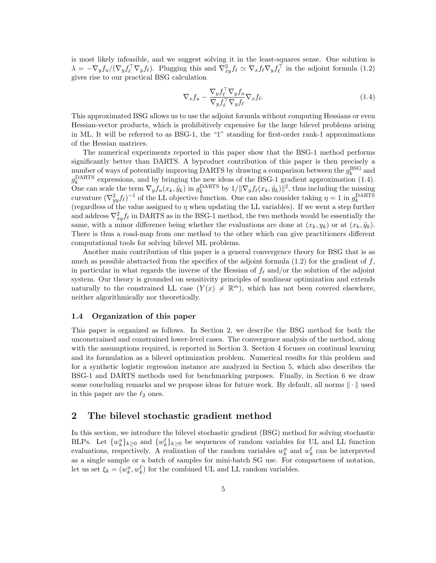is most likely infeasible, and we suggest solving it in the least-squares sense. One solution is  $\lambda = -\nabla_y f_u/(\nabla_y f_{\ell})^T \nabla_y f_{\ell}$ . Plugging this and  $\nabla^2_{xy} f_{\ell} \simeq \nabla_x f_{\ell} \nabla_y f_{\ell}^T$  in the adjoint formula (1.2) gives rise to our practical BSG calculation

$$
\nabla_x f_u - \frac{\nabla_y f_\ell^{\perp} \nabla_y f_u}{\nabla_y f_\ell^{\perp} \nabla_y f_\ell} \nabla_x f_\ell.
$$
\n(1.4)

This approximated BSG allows us to use the adjoint formula without computing Hessians or even Hessian-vector products, which is prohibitively expensive for the large bilevel problems arising in ML. It will be referred to as BSG-1, the "1" standing for first-order rank-1 approximations of the Hessian matrices.

The numerical experiments reported in this paper show that the BSG-1 method performs significantly better than DARTS. A byproduct contribution of this paper is then precisely a number of ways of potentially improving DARTS by drawing a comparison between the  $g_k^{\text{BSG}}$  and  $g_k^{\text{DARTS}}$  expressions, and by bringing the new ideas of the BSG-1 gradient approximation (1.4).  $g_k$  expressions, and by bringing the new deas of the BSG-1 gradient approximation (1.4).<br>One can scale the term  $\nabla_y f_u(x_k, \tilde{y}_k)$  in  $g_k^{\text{DARTS}}$  by  $1/||\nabla_y f_e(x_k, \tilde{y}_k)||^2$ , thus including the missing curvature  $(\nabla_{yy}^2 f_\ell)^{-1}$  of the LL objective function. One can also consider taking  $\eta = 1$  in  $g_k^{\text{DARTS}}$ (regardless of the value assigned to  $\eta$  when updating the LL variables). If we went a step further and address  $\nabla_{xy}^2 f_\ell$  in DARTS as in the BSG-1 method, the two methods would be essentially the same, with a minor difference being whether the evaluations are done at  $(x_k, y_k)$  or at  $(x_k, \tilde{y}_k)$ . There is thus a road-map from one method to the other which can give practitioners different computational tools for solving bilevel ML problems.

Another main contribution of this paper is a general convergence theory for BSG that is as much as possible abstracted from the specifics of the adjoint formula  $(1.2)$  for the gradient of f, in particular in what regards the inverse of the Hessian of  $f_\ell$  and/or the solution of the adjoint system. Our theory is grounded on sensitivity principles of nonlinear optimization and extends naturally to the constrained LL case  $(Y(x) \neq \mathbb{R}^m)$ , which has not been covered elsewhere, neither algorithmically nor theoretically.

#### 1.4 Organization of this paper

This paper is organized as follows. In Section 2, we describe the BSG method for both the unconstrained and constrained lower-level cases. The convergence analysis of the method, along with the assumptions required, is reported in Section 3. Section 4 focuses on continual learning and its formulation as a bilevel optimization problem. Numerical results for this problem and for a synthetic logistic regression instance are analyzed in Section 5, which also describes the BSG-1 and DARTS methods used for benchmarking purposes. Finally, in Section 6 we draw some concluding remarks and we propose ideas for future work. By default, all norms  $\|\cdot\|$  used in this paper are the  $\ell_2$  ones.

## 2 The bilevel stochastic gradient method

In this section, we introduce the bilevel stochastic gradient (BSG) method for solving stochastic BLPs. Let  $\{w_k^u\}_{k\geq 0}$  and  $\{w_k^{\ell}\}_{k\geq 0}$  be sequences of random variables for UL and LL function evaluations, respectively. A realization of the random variables  $w_k^u$  and  $w_k^{\ell}$  can be interpreted as a single sample or a batch of samples for mini-batch SG use. For compactness of notation, let us set  $\xi_k = (w_k^u, w_k^{\ell})$  for the combined UL and LL random variables.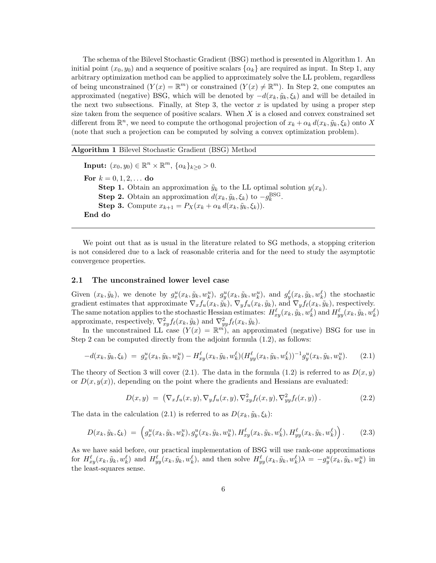The schema of the Bilevel Stochastic Gradient (BSG) method is presented in Algorithm 1. An initial point  $(x_0, y_0)$  and a sequence of positive scalars  $\{\alpha_k\}$  are required as input. In Step 1, any arbitrary optimization method can be applied to approximately solve the LL problem, regardless of being unconstrained  $(Y(x) = \mathbb{R}^m)$  or constrained  $(Y(x) \neq \mathbb{R}^m)$ . In Step 2, one computes an approximated (negative) BSG, which will be denoted by  $-d(x_k, \tilde{y}_k, \xi_k)$  and will be detailed in the next two subsections. Finally, at Step 3, the vector x is updated by using a proper step size taken from the sequence of positive scalars. When  $X$  is a closed and convex constrained set different from  $\mathbb{R}^n$ , we need to compute the orthogonal projection of  $x_k + \alpha_k d(x_k, \tilde{y}_k, \xi_k)$  onto X (note that such a projection can be computed by solving a convex optimization problem).

Algorithm 1 Bilevel Stochastic Gradient (BSG) Method

**Input:**  $(x_0, y_0) \in \mathbb{R}^n \times \mathbb{R}^m$ ,  $\{\alpha_k\}_{k \geq 0} > 0$ . For  $k = 0, 1, 2, ...$  do **Step 1.** Obtain an approximation  $\tilde{y}_k$  to the LL optimal solution  $y(x_k)$ . **Step 2.** Obtain an approximation  $d(x_k, \tilde{y}_k, \xi_k)$  to  $-g_k^{\text{BSG}}$ . Step 3. Compute  $x_{k+1} = P_X(x_k + \alpha_k d(x_k, \tilde{y}_k, \xi_k)).$ End do

We point out that as is usual in the literature related to SG methods, a stopping criterion is not considered due to a lack of reasonable criteria and for the need to study the asymptotic convergence properties.

#### 2.1 The unconstrained lower level case

Given  $(x_k, \tilde{y}_k)$ , we denote by  $g_x^u(x_k, \tilde{y}_k, w_k^u)$ ,  $g_y^u(x_k, \tilde{y}_k, w_k^u)$ , and  $g_y^{\ell}(x_k, \tilde{y}_k, w_k^{\ell})$  the stochastic Given  $(x_k, y_k)$ , we denote by  $g_x(x_k, y_k, w_k)$ ,  $g_y(x_k, y_k, w_k)$ , and  $g_y(x_k, y_k, w_k)$  the stochastic gradient estimates that approximate  $\nabla_x f_u(x_k, \tilde{y}_k)$ ,  $\nabla_y f_u(x_k, \tilde{y}_k)$ , and  $\nabla_y f_{\ell}(x_k, \tilde{y}_k)$ , respectively. The same notation applies to the stochastic Hessian estimates:  $H_{xy}^{\ell}(x_k, \tilde{y}_k, w_k^{\ell})$  and  $H_{yy}^{\ell}(x_k, \tilde{y}_k, w_k^{\ell})$ approximate, respectively,  $\nabla_{xy}^2 f_\ell(x_k, \tilde{y}_k)$  and  $\nabla_{yy}^2 f_\ell(x_k, \tilde{y}_k)$ .

In the unconstrained LL case  $(Y(x) = \mathbb{R}^m)$ , an approximated (negative) BSG for use in Step 2 can be computed directly from the adjoint formula  $(1.2)$ , as follows:

$$
-d(x_k, \tilde{y}_k, \xi_k) = g_x^u(x_k, \tilde{y}_k, w_k^u) - H_{xy}^\ell(x_k, \tilde{y}_k, w_k^\ell) (H_{yy}^\ell(x_k, \tilde{y}_k, w_k^\ell))^{-1} g_y^u(x_k, \tilde{y}_k, w_k^u). \tag{2.1}
$$

The theory of Section 3 will cover (2.1). The data in the formula (1.2) is referred to as  $D(x, y)$ or  $D(x, y(x))$ , depending on the point where the gradients and Hessians are evaluated:

$$
D(x,y) = \left(\nabla_x f_u(x,y), \nabla_y f_u(x,y), \nabla^2_{xy} f_\ell(x,y), \nabla^2_{yy} f_\ell(x,y)\right). \tag{2.2}
$$

The data in the calculation (2.1) is referred to as  $D(x_k, \tilde{y}_k, \xi_k)$ :

$$
D(x_k, \tilde{y}_k, \xi_k) = \left(g_x^u(x_k, \tilde{y}_k, w_k^u), g_y^u(x_k, \tilde{y}_k, w_k^u), H_{xy}^\ell(x_k, \tilde{y}_k, w_k^\ell), H_{yy}^\ell(x_k, \tilde{y}_k, w_k^\ell)\right). \tag{2.3}
$$

As we have said before, our practical implementation of BSG will use rank-one approximations for  $H_{xy}^{\ell}(x_k, \tilde{y}_k, w_k^{\ell})$  and  $H_{yy}^{\ell}(x_k, \tilde{y}_k, w_k^{\ell})$ , and then solve  $H_{yy}^{\ell}(x_k, \tilde{y}_k, w_k^{\ell})\lambda = -g_y^u(x_k, \tilde{y}_k, w_k^u)$  in the least-squares sense.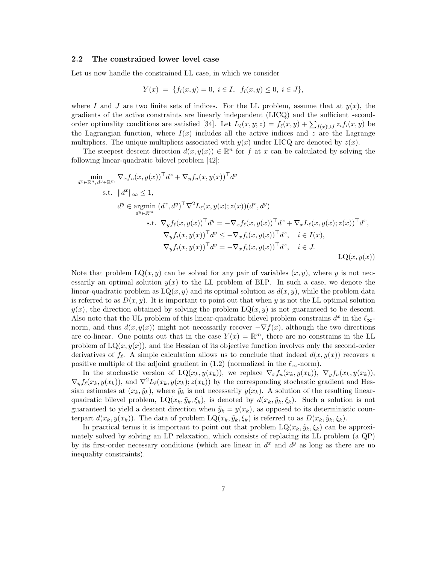#### 2.2 The constrained lower level case

Let us now handle the constrained LL case, in which we consider

$$
Y(x) = \{ f_i(x, y) = 0, \ i \in I, \ f_i(x, y) \le 0, \ i \in J \},
$$

where I and J are two finite sets of indices. For the LL problem, assume that at  $y(x)$ , the gradients of the active constraints are linearly independent (LICQ) and the sufficient secondorder optimality conditions are satisfied [34]. Let  $L_{\ell}(x, y; z) = f_{\ell}(x, y) + \sum_{I(x) \cup J} z_i f_i(x, y)$  be the Lagrangian function, where  $I(x)$  includes all the active indices and z are the Lagrange multipliers. The unique multipliers associated with  $y(x)$  under LICQ are denoted by  $z(x)$ .

The steepest descent direction  $d(x, y(x)) \in \mathbb{R}^n$  for f at x can be calculated by solving the following linear-quadratic bilevel problem [42]:

$$
\min_{d^x \in \mathbb{R}^n, d^y \in \mathbb{R}^m} \nabla_x f_u(x, y(x))^\top d^x + \nabla_y f_u(x, y(x))^\top d^y
$$
\ns.t. 
$$
||d^x||_{\infty} \le 1,
$$
\n
$$
d^y \in \operatorname*{argmin}_{d^y \in \mathbb{R}^m} (d^x, d^y)^\top \nabla^2 L_\ell(x, y(x); z(x)) (d^x, d^y)
$$
\ns.t. 
$$
\nabla_y f_\ell(x, y(x))^\top d^y = -\nabla_x f_\ell(x, y(x))^\top d^x + \nabla_x L_\ell(x, y(x); z(x))^\top d^x,
$$
\n
$$
\nabla_y f_i(x, y(x))^\top d^y \le -\nabla_x f_i(x, y(x))^\top d^x, \quad i \in I(x),
$$
\n
$$
\nabla_y f_i(x, y(x))^\top d^y = -\nabla_x f_i(x, y(x))^\top d^x, \quad i \in J.
$$
\n
$$
LQ(x, y(x))
$$

Note that problem  $LQ(x, y)$  can be solved for any pair of variables  $(x, y)$ , where y is not necessarily an optimal solution  $y(x)$  to the LL problem of BLP. In such a case, we denote the linear-quadratic problem as  $LQ(x, y)$  and its optimal solution as  $d(x, y)$ , while the problem data is referred to as  $D(x, y)$ . It is important to point out that when y is not the LL optimal solution  $y(x)$ , the direction obtained by solving the problem  $LQ(x, y)$  is not guaranteed to be descent. Also note that the UL problem of this linear-quadratic bilevel problem constrains  $d^x$  in the  $\ell_{\infty}$ norm, and thus  $d(x, y(x))$  might not necessarily recover  $-\nabla f(x)$ , although the two directions are co-linear. One points out that in the case  $Y(x) = \mathbb{R}^m$ , there are no constrains in the LL problem of  $LQ(x, y(x))$ , and the Hessian of its objective function involves only the second-order derivatives of  $f_{\ell}$ . A simple calculation allows us to conclude that indeed  $d(x, y(x))$  recovers a positive multiple of the adjoint gradient in (1.2) (normalized in the  $\ell_{\infty}$ -norm).

In the stochastic version of  $LQ(x_k, y(x_k))$ , we replace  $\nabla_x f_u(x_k, y(x_k))$ ,  $\nabla_y f_u(x_k, y(x_k))$ ,  $\nabla_y f_\ell(x_k, y(x_k))$ , and  $\nabla^2 L_\ell(x_k, y(x_k); z(x_k))$  by the corresponding stochastic gradient and Hessian estimates at  $(x_k, \tilde{y}_k)$ , where  $\tilde{y}_k$  is not necessarily  $y(x_k)$ . A solution of the resulting linearquadratic bilevel problem,  $LQ(x_k, \tilde{y}_k, \xi_k)$ , is denoted by  $d(x_k, \tilde{y}_k, \xi_k)$ . Such a solution is not guaranteed to yield a descent direction when  $\tilde{y}_k = y(x_k)$ , as opposed to its deterministic counterpart  $d(x_k, y(x_k))$ . The data of problem  $LQ(x_k, \tilde{y}_k, \xi_k)$  is referred to as  $D(x_k, \tilde{y}_k, \xi_k)$ .

In practical terms it is important to point out that problem  $LQ(x_k, \tilde{y}_k, \xi_k)$  can be approximately solved by solving an LP relaxation, which consists of replacing its LL problem (a QP) by its first-order necessary conditions (which are linear in  $d<sup>x</sup>$  and  $d<sup>y</sup>$  as long as there are no inequality constraints).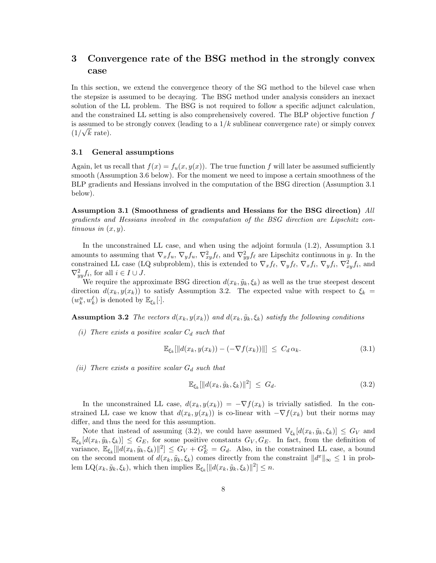# 3 Convergence rate of the BSG method in the strongly convex case

In this section, we extend the convergence theory of the SG method to the bilevel case when the stepsize is assumed to be decaying. The BSG method under analysis considers an inexact solution of the LL problem. The BSG is not required to follow a specific adjunct calculation, and the constrained LL setting is also comprehensively covered. The BLP objective function f is assumed to be strongly convex (leading to a  $1/k$  sublinear convergence rate) or simply convex  $(1/\sqrt{k})$  rate).

#### 3.1 General assumptions

Again, let us recall that  $f(x) = f_u(x, y(x))$ . The true function f will later be assumed sufficiently smooth (Assumption 3.6 below). For the moment we need to impose a certain smoothness of the BLP gradients and Hessians involved in the computation of the BSG direction (Assumption 3.1 below).

Assumption 3.1 (Smoothness of gradients and Hessians for the BSG direction) All gradients and Hessians involved in the computation of the BSG direction are Lipschitz continuous in  $(x, y)$ .

In the unconstrained LL case, and when using the adjoint formula (1.2), Assumption 3.1 amounts to assuming that  $\nabla_x f_u$ ,  $\nabla_y f_u$ ,  $\nabla^2_{xy} f_{\ell}$ , and  $\nabla^2_{yy} f_{\ell}$  are Lipschitz continuous in y. In the constrained LL case (LQ subproblem), this is extended to  $\nabla_x f_\ell, \nabla_y f_\ell, \nabla_x f_i, \nabla_y f_i, \nabla_x^2 f_i$ , and  $\nabla^2_{yy} f_i$ , for all  $i \in I \cup J$ .

We require the approximate BSG direction  $d(x_k, \tilde{y}_k, \xi_k)$  as well as the true steepest descent direction  $d(x_k, y(x_k))$  to satisfy Assumption 3.2. The expected value with respect to  $\xi_k =$  $(w_k^u, w_k^{\ell})$  is denoted by  $\mathbb{E}_{\xi_k}[\cdot]$ .

**Assumption 3.2** The vectors  $d(x_k, y(x_k))$  and  $d(x_k, \tilde{y}_k, \xi_k)$  satisfy the following conditions

(i) There exists a positive scalar  $C_d$  such that

$$
\mathbb{E}_{\xi_k}[\|d(x_k, y(x_k)) - (-\nabla f(x_k))\|] \leq C_d \alpha_k. \tag{3.1}
$$

(ii) There exists a positive scalar  $G_d$  such that

$$
\mathbb{E}_{\xi_k}[\|d(x_k, \tilde{y}_k, \xi_k)\|^2] \leq G_d. \tag{3.2}
$$

In the unconstrained LL case,  $d(x_k, y(x_k)) = -\nabla f(x_k)$  is trivially satisfied. In the constrained LL case we know that  $d(x_k, y(x_k))$  is co-linear with  $-\nabla f(x_k)$  but their norms may differ, and thus the need for this assumption.

Note that instead of assuming (3.2), we could have assumed  $\mathbb{V}_{\xi_k}[d(x_k, \tilde{y}_k, \xi_k)] \leq G_V$  and  $\mathbb{E}_{\xi_k}[d(x_k, \tilde{y}_k, \xi_k)] \leq G_E$ , for some positive constants  $G_V, G_E$ . In fact, from the definition of variance,  $\mathbb{E}_{\xi_k}[\|d(x_k, \tilde{y}_k, \xi_k)\|^2] \leq G_V + G_E^2 = G_d$ . Also, in the constrained LL case, a bound on the second moment of  $d(x_k, \tilde{y}_k, \xi_k)$  comes directly from the constraint  $||d^x||_{\infty} \leq 1$  in problem LQ $(x_k, \tilde{y}_k, \xi_k)$ , which then implies  $\mathbb{E}_{\xi_k}[\|d(x_k, \tilde{y}_k, \xi_k)\|^2] \leq n$ .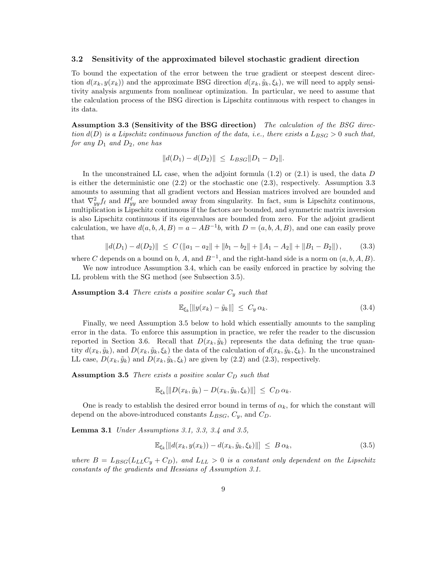#### 3.2 Sensitivity of the approximated bilevel stochastic gradient direction

To bound the expectation of the error between the true gradient or steepest descent direction  $d(x_k, y(x_k))$  and the approximate BSG direction  $d(x_k, \tilde{y}_k, \xi_k)$ , we will need to apply sensitivity analysis arguments from nonlinear optimization. In particular, we need to assume that the calculation process of the BSG direction is Lipschitz continuous with respect to changes in its data.

Assumption 3.3 (Sensitivity of the BSG direction) The calculation of the BSG direction  $d(D)$  is a Lipschitz continuous function of the data, i.e., there exists a  $L_{BSG} > 0$  such that, for any  $D_1$  and  $D_2$ , one has

$$
||d(D_1) - d(D_2)|| \leq L_{BSG} ||D_1 - D_2||.
$$

In the unconstrained LL case, when the adjoint formula  $(1.2)$  or  $(2.1)$  is used, the data D is either the deterministic one  $(2.2)$  or the stochastic one  $(2.3)$ , respectively. Assumption 3.3 amounts to assuming that all gradient vectors and Hessian matrices involved are bounded and that  $\nabla_{yy}^2 f_\ell$  and  $H_{yy}^\ell$  are bounded away from singularity. In fact, sum is Lipschitz continuous, multiplication is Lipschitz continuous if the factors are bounded, and symmetric matrix inversion is also Lipschitz continuous if its eigenvalues are bounded from zero. For the adjoint gradient calculation, we have  $d(a, b, A, B) = a - AB^{-1}b$ , with  $D = (a, b, A, B)$ , and one can easily prove that

$$
||d(D_1) - d(D_2)|| \le C \left( ||a_1 - a_2|| + ||b_1 - b_2|| + ||A_1 - A_2|| + ||B_1 - B_2|| \right), \tag{3.3}
$$

where C depends on a bound on b, A, and  $B^{-1}$ , and the right-hand side is a norm on  $(a, b, A, B)$ .

We now introduce Assumption 3.4, which can be easily enforced in practice by solving the LL problem with the SG method (see Subsection 3.5).

**Assumption 3.4** There exists a positive scalar  $C_y$  such that

$$
\mathbb{E}_{\xi_k}[\|y(x_k) - \tilde{y}_k\|] \le C_y \alpha_k. \tag{3.4}
$$

Finally, we need Assumption 3.5 below to hold which essentially amounts to the sampling error in the data. To enforce this assumption in practice, we refer the reader to the discussion reported in Section 3.6. Recall that  $D(x_k, \tilde{y}_k)$  represents the data defining the true quantity  $d(x_k, \tilde{y}_k)$ , and  $D(x_k, \tilde{y}_k, \xi_k)$  the data of the calculation of  $d(x_k, \tilde{y}_k, \xi_k)$ . In the unconstrained LL case,  $D(x_k, \tilde{y}_k)$  and  $D(x_k, \tilde{y}_k, \xi_k)$  are given by (2.2) and (2.3), respectively.

**Assumption 3.5** There exists a positive scalar  $C_D$  such that

$$
\mathbb{E}_{\xi_k}[\|D(x_k,\tilde{y}_k)-D(x_k,\tilde{y}_k,\xi_k)\|] \leq C_D \alpha_k.
$$

One is ready to establish the desired error bound in terms of  $\alpha_k$ , for which the constant will depend on the above-introduced constants  $L_{BSG}$ ,  $C_y$ , and  $C_D$ .

**Lemma 3.1** *Under Assumptions 3.1, 3.3, 3.4 and 3.5,* 

$$
\mathbb{E}_{\xi_k}[\|d(x_k, y(x_k)) - d(x_k, \tilde{y}_k, \xi_k)\|] \leq B \alpha_k, \tag{3.5}
$$

where  $B = L_{BSG}(L_{LL}C_y + C_D)$ , and  $L_{LL} > 0$  is a constant only dependent on the Lipschitz constants of the gradients and Hessians of Assumption 3.1.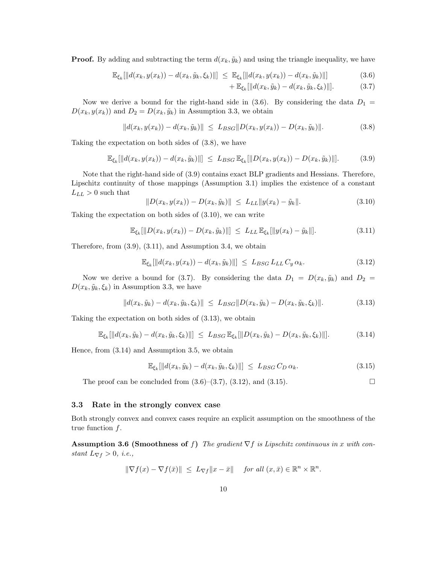**Proof.** By adding and subtracting the term  $d(x_k, \tilde{y}_k)$  and using the triangle inequality, we have

$$
\mathbb{E}_{\xi_k}[\|d(x_k, y(x_k)) - d(x_k, \tilde{y}_k, \xi_k)\|] \leq \mathbb{E}_{\xi_k}[\|d(x_k, y(x_k)) - d(x_k, \tilde{y}_k)\|]
$$
(3.6)

+ 
$$
\mathbb{E}_{\xi_k}[\|d(x_k, \tilde{y}_k) - d(x_k, \tilde{y}_k, \xi_k)\|].
$$
 (3.7)

Now we derive a bound for the right-hand side in (3.6). By considering the data  $D_1 =$  $D(x_k, y(x_k))$  and  $D_2 = D(x_k, \tilde{y}_k)$  in Assumption 3.3, we obtain

$$
||d(x_k, y(x_k)) - d(x_k, \tilde{y}_k)|| \le L_{BSG} ||D(x_k, y(x_k)) - D(x_k, \tilde{y}_k)||. \tag{3.8}
$$

Taking the expectation on both sides of (3.8), we have

$$
\mathbb{E}_{\xi_k}[\|d(x_k, y(x_k)) - d(x_k, \tilde{y}_k)\|] \le L_{BSG} \mathbb{E}_{\xi_k}[\|D(x_k, y(x_k)) - D(x_k, \tilde{y}_k)\|]. \tag{3.9}
$$

Note that the right-hand side of (3.9) contains exact BLP gradients and Hessians. Therefore, Lipschitz continuity of those mappings (Assumption 3.1) implies the existence of a constant  $L_{LL} > 0$  such that

$$
||D(x_k, y(x_k)) - D(x_k, \tilde{y}_k)|| \le L_{LL} ||y(x_k) - \tilde{y}_k||.
$$
 (3.10)

Taking the expectation on both sides of (3.10), we can write

$$
\mathbb{E}_{\xi_k}[\|D(x_k, y(x_k)) - D(x_k, \tilde{y}_k)\|] \le L_{LL} \mathbb{E}_{\xi_k}[\|y(x_k) - \tilde{y}_k\|]. \tag{3.11}
$$

Therefore, from (3.9), (3.11), and Assumption 3.4, we obtain

$$
\mathbb{E}_{\xi_k}[\|d(x_k, y(x_k)) - d(x_k, \tilde{y}_k)\|] \le L_{BSG} L_{LL} C_y \alpha_k. \tag{3.12}
$$

Now we derive a bound for (3.7). By considering the data  $D_1 = D(x_k, \tilde{y}_k)$  and  $D_2 =$  $D(x_k, \tilde{y}_k, \xi_k)$  in Assumption 3.3, we have

$$
||d(x_k, \tilde{y}_k) - d(x_k, \tilde{y}_k, \xi_k)|| \le L_{BSG} ||D(x_k, \tilde{y}_k) - D(x_k, \tilde{y}_k, \xi_k)||. \tag{3.13}
$$

Taking the expectation on both sides of (3.13), we obtain

$$
\mathbb{E}_{\xi_k}[\|d(x_k, \tilde{y}_k) - d(x_k, \tilde{y}_k, \xi_k)\|] \leq L_{BSG} \mathbb{E}_{\xi_k}[\|D(x_k, \tilde{y}_k) - D(x_k, \tilde{y}_k, \xi_k)\|]. \tag{3.14}
$$

Hence, from (3.14) and Assumption 3.5, we obtain

$$
\mathbb{E}_{\xi_k}[\|d(x_k, \tilde{y}_k) - d(x_k, \tilde{y}_k, \xi_k)\|] \leq L_{BSG} C_D \alpha_k. \tag{3.15}
$$

The proof can be concluded from  $(3.6)$ – $(3.7)$ ,  $(3.12)$ , and  $(3.15)$ .

#### 3.3 Rate in the strongly convex case

Both strongly convex and convex cases require an explicit assumption on the smoothness of the true function f.

Assumption 3.6 (Smoothness of f) The gradient  $\nabla f$  is Lipschitz continuous in x with constant  $L_{\nabla f} > 0$ , *i.e.*,

$$
\|\nabla f(x) - \nabla f(\bar{x})\| \le L_{\nabla f} \|x - \bar{x}\| \quad \text{for all } (x, \bar{x}) \in \mathbb{R}^n \times \mathbb{R}^n.
$$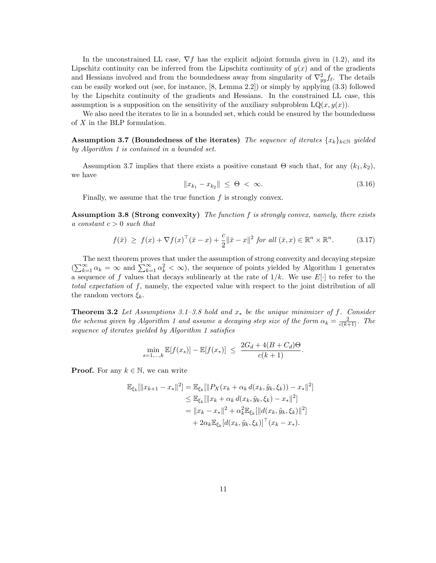In the unconstrained LL case,  $\nabla f$  has the explicit adjoint formula given in (1.2), and its Lipschitz continuity can be inferred from the Lipschitz continuity of  $y(x)$  and of the gradients and Hessians involved and from the boundedness away from singularity of  $\nabla_{yy}^2 f_\ell$ . The details can be easily worked out (see, for instance, [8, Lemma 2.2]) or simply by applying (3.3) followed by the Lipschitz continuity of the gradients and Hessians. In the constrained LL case, this assumption is a supposition on the sensitivity of the auxiliary subproblem  $LQ(x, y(x))$ .

We also need the iterates to lie in a bounded set, which could be ensured by the boundedness of X in the BLP formulation.

Assumption 3.7 (Boundedness of the iterates) The sequence of iterates  ${x_k}_{k \in \mathbb{N}}$  yielded by Algorithm 1 is contained in a bounded set.

Assumption 3.7 implies that there exists a positive constant  $\Theta$  such that, for any  $(k_1, k_2)$ , we have

$$
||x_{k_1} - x_{k_2}|| \leq \Theta < \infty. \tag{3.16}
$$

Finally, we assume that the true function f is strongly convex.

Assumption 3.8 (Strong convexity) The function f is strongly convex, namely, there exists a constant  $c > 0$  such that

$$
f(\bar{x}) \ge f(x) + \nabla f(x)^\top (\bar{x} - x) + \frac{c}{2} \|\bar{x} - x\|^2 \text{ for all } (\bar{x}, x) \in \mathbb{R}^n \times \mathbb{R}^n. \tag{3.17}
$$

The next theorem proves that under the assumption of strong convexity and decaying stepsize  $(\sum_{k=1}^{\infty} \alpha_k = \infty$  and  $\sum_{k=1}^{\infty} \alpha_k^2 < \infty)$ , the sequence of points yielded by Algorithm 1 generates a sequence of f values that decays sublinearly at the rate of  $1/k$ . We use  $E[\cdot]$  to refer to the total expectation of f, namely, the expected value with respect to the joint distribution of all the random vectors  $\xi_k$ .

**Theorem 3.2** Let Assumptions 3.1–3.8 hold and  $x_*$  be the unique minimizer of f. Consider the schema given by Algorithm 1 and assume a decaying step size of the form  $\alpha_k = \frac{2}{c(k+1)}$ . The sequence of iterates yielded by Algorithm 1 satisfies

$$
\min_{s=1,\dots,k} \mathbb{E}[f(x_s)] - \mathbb{E}[f(x_*)] \le \frac{2G_d + 4(B + C_d)\Theta}{c(k+1)}.
$$

**Proof.** For any  $k \in \mathbb{N}$ , we can write

$$
\mathbb{E}_{\xi_k}[\|x_{k+1} - x_*\|^2] = \mathbb{E}_{\xi_k}[\|P_X(x_k + \alpha_k d(x_k, \tilde{y}_k, \xi_k)) - x_*\|^2] \n\leq \mathbb{E}_{\xi_k}[\|x_k + \alpha_k d(x_k, \tilde{y}_k, \xi_k) - x_*\|^2] \n= \|x_k - x_*\|^2 + \alpha_k^2 \mathbb{E}_{\xi_k}[\|d(x_k, \tilde{y}_k, \xi_k)\|^2] \n+ 2\alpha_k \mathbb{E}_{\xi_k}[d(x_k, \tilde{y}_k, \xi_k)]^\top (x_k - x_*) .
$$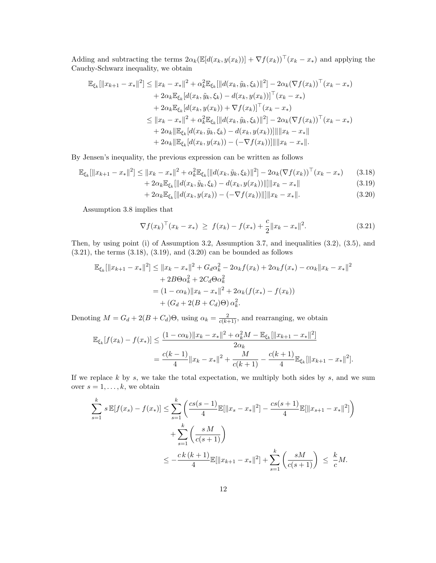Adding and subtracting the terms  $2\alpha_k(\mathbb{E}[d(x_k, y(x_k))] + \nabla f(x_k))^{\top}(x_k - x_*)$  and applying the Cauchy-Schwarz inequality, we obtain

$$
\mathbb{E}_{\xi_k}[\|x_{k+1} - x_*\|^2] \le \|x_k - x_*\|^2 + \alpha_k^2 \mathbb{E}_{\xi_k}[\|d(x_k, \tilde{y}_k, \xi_k)\|^2] - 2\alpha_k (\nabla f(x_k))^{\top} (x_k - x_*)
$$
  
+  $2\alpha_k \mathbb{E}_{\xi_k}[d(x_k, \tilde{y}_k, \xi_k) - d(x_k, y(x_k))]^{\top} (x_k - x_*)$   
+  $2\alpha_k \mathbb{E}_{\xi_k}[d(x_k, y(x_k)) + \nabla f(x_k)]^{\top} (x_k - x_*)$   
 $\le \|x_k - x_*\|^2 + \alpha_k^2 \mathbb{E}_{\xi_k}[\|d(x_k, \tilde{y}_k, \xi_k)\|^2] - 2\alpha_k (\nabla f(x_k))^{\top} (x_k - x_*)$   
+  $2\alpha_k \|\mathbb{E}_{\xi_k}[d(x_k, \tilde{y}_k, \xi_k) - d(x_k, y(x_k))]\| \|x_k - x_*\|$   
+  $2\alpha_k \|\mathbb{E}_{\xi_k}[d(x_k, y(x_k)) - (-\nabla f(x_k))]\| \|x_k - x_*\|$ .

By Jensen's inequality, the previous expression can be written as follows

$$
\mathbb{E}_{\xi_k}[\|x_{k+1} - x_*\|^2] \le \|x_k - x_*\|^2 + \alpha_k^2 \mathbb{E}_{\xi_k}[\|d(x_k, \tilde{y}_k, \xi_k)\|^2] - 2\alpha_k (\nabla f(x_k))^{\top} (x_k - x_*) \qquad (3.18) + 2\alpha_k \mathbb{E}_{\xi_k}[\|d(x_k, \tilde{y}_k, \xi_k) - d(x_k, y(x_k))\|]\|x_k - x_*\|
$$
\n(3.19)

$$
2\alpha_k \mathbb{E}_{\xi_k}[\|d(x_k, \tilde{y}_k, \xi_k) - d(x_k, y(x_k))\|] \|x_k - x_*\|
$$
\n(3.19)

$$
+ 2\alpha_k \mathbb{E}_{\xi_k}[\|d(x_k, y(x_k)) - (-\nabla f(x_k))\|] \|x_k - x_*\|.
$$
\n(3.20)

Assumption 3.8 implies that

$$
\nabla f(x_k)^\top (x_k - x_*) \geq f(x_k) - f(x_*) + \frac{c}{2} \|x_k - x_*\|^2. \tag{3.21}
$$

Then, by using point (i) of Assumption 3.2, Assumption 3.7, and inequalities (3.2), (3.5), and  $(3.21)$ , the terms  $(3.18)$ ,  $(3.19)$ , and  $(3.20)$  can be bounded as follows

$$
\mathbb{E}_{\xi_k}[\|x_{k+1} - x_*\|^2] \le \|x_k - x_*\|^2 + G_d \alpha_k^2 - 2\alpha_k f(x_k) + 2\alpha_k f(x_*) - c\alpha_k \|x_k - x_*\|^2
$$
  
+ 2B\Theta\alpha\_k^2 + 2C\_d\Theta\alpha\_k^2  
= (1 - c\alpha\_k) \|x\_k - x\_\*\|^2 + 2\alpha\_k (f(x\_\*) - f(x\_k))  
+ (G\_d + 2(B + C\_d)\Theta) \alpha\_k^2.

Denoting  $M = G_d + 2(B + C_d)\Theta$ , using  $\alpha_k = \frac{2}{c(k+1)}$ , and rearranging, we obtain

$$
\mathbb{E}_{\xi_k}[f(x_k) - f(x_*)] \le \frac{(1 - c\alpha_k) \|x_k - x_*\|^2 + \alpha_k^2 M - \mathbb{E}_{\xi_k}[\|x_{k+1} - x_*\|^2]}{2\alpha_k}
$$
  
= 
$$
\frac{c(k-1)}{4} \|x_k - x_*\|^2 + \frac{M}{c(k+1)} - \frac{c(k+1)}{4} \mathbb{E}_{\xi_k}[\|x_{k+1} - x_*\|^2].
$$

If we replace  $k$  by  $s$ , we take the total expectation, we multiply both sides by  $s$ , and we sum over  $s = 1, \ldots, k$ , we obtain

$$
\sum_{s=1}^{k} s \mathbb{E}[f(x_s) - f(x_*)] \le \sum_{s=1}^{k} \left( \frac{cs(s-1)}{4} \mathbb{E}[\|x_s - x_*\|^2] - \frac{cs(s+1)}{4} \mathbb{E}[\|x_{s+1} - x_*\|^2] \right) \n+ \sum_{s=1}^{k} \left( \frac{sM}{c(s+1)} \right) \n\le -\frac{ck(k+1)}{4} \mathbb{E}[\|x_{k+1} - x_*\|^2] + \sum_{s=1}^{k} \left( \frac{sM}{c(s+1)} \right) \le \frac{k}{c} M.
$$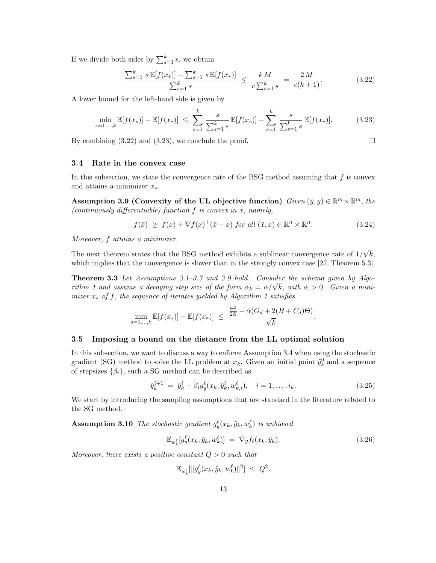If we divide both sides by  $\sum_{s=1}^{k} s$ , we obtain

$$
\frac{\sum_{s=1}^{k} s \mathbb{E}[f(x_s)] - \sum_{s=1}^{k} s \mathbb{E}[f(x_s)]}{\sum_{s=1}^{k} s} \le \frac{k M}{c \sum_{s=1}^{k} s} = \frac{2 M}{c(k+1)}.
$$
\n(3.22)

A lower bound for the left-hand side is given by

$$
\min_{s=1,\dots,k} \mathbb{E}[f(x_s)] - \mathbb{E}[f(x_*)] \le \sum_{s=1}^k \frac{s}{\sum_{s=1}^k s} \mathbb{E}[f(x_s)] - \sum_{s=1}^k \frac{s}{\sum_{s=1}^k s} \mathbb{E}[f(x_*)]. \tag{3.23}
$$

By combining  $(3.22)$  and  $(3.23)$ , we conclude the proof.

#### 3.4 Rate in the convex case

In this subsection, we state the convergence rate of the BSG method assuming that  $f$  is convex and attains a minimizer  $x^*$ .

Assumption 3.9 (Convexity of the UL objective function)  $Given\ (\bar{y},y) \in \mathbb{R}^m \times \mathbb{R}^m$ , the (continuously differentiable) function  $f$  is convex in  $x$ , namely,

$$
f(\bar{x}) \geq f(x) + \nabla f(x)^\top (\bar{x} - x) \text{ for all } (\bar{x}, x) \in \mathbb{R}^n \times \mathbb{R}^n. \tag{3.24}
$$

Moreover, f attains a minimizer.

The next theorem states that the BSG method exhibits a sublinear convergence rate of  $1/\sqrt{k}$ , which implies that the convergence is slower than in the strongly convex case [27, Theorem 5.3].

Theorem 3.3 Let Assumptions 3.1–3.7 and 3.9 hold. Consider the schema given by Algorithm 1 and assume a decaying step size of the form  $\alpha_k = \bar{\alpha}/\sqrt{k}$ , with  $\bar{\alpha} > 0$ . Given a minimizer  $x_*$  of f, the sequence of iterates yielded by Algorithm 1 satisfies

$$
\min_{s=1,\dots,k} \mathbb{E}[f(x_s)] - \mathbb{E}[f(x_*)] \le \frac{\frac{\Theta^2}{2\bar{\alpha}} + \bar{\alpha}(G_d + 2(B + C_d)\Theta)}{\sqrt{k}}.
$$

#### 3.5 Imposing a bound on the distance from the LL optimal solution

In this subsection, we want to discuss a way to enforce Assumption 3.4 when using the stochastic gradient (SG) method to solve the LL problem at  $x_k$ . Given an initial point  $\tilde{y}_k^0$  and a sequence of stepsizes  $\{\beta_i\}$ , such a SG method can be described as

$$
\tilde{y}_k^{i+1} = \tilde{y}_k^i - \beta_i g_y^\ell(x_k, \tilde{y}_k^i, w_{k,i}^\ell), \quad i = 1, \dots, i_k.
$$
\n(3.25)

We start by introducing the sampling assumptions that are standard in the literature related to the SG method.

**Assumption 3.10** The stochastic gradient  $g_y^{\ell}(x_k, \tilde{y}_k, w_k^{\ell})$  is unbiased

$$
\mathbb{E}_{w_k^{\ell}}[g_y^{\ell}(x_k, \tilde{y}_k, w_k^{\ell})] = \nabla_y f_{\ell}(x_k, \tilde{y}_k). \tag{3.26}
$$

.

Moreover, there exists a positive constant  $Q > 0$  such that

$$
\mathbb{E}_{w_k^{\ell}}[\|g_y^{\ell}(x_k,\tilde{y}_k,w_k^{\ell})\|^2] \ \leq \ Q^2
$$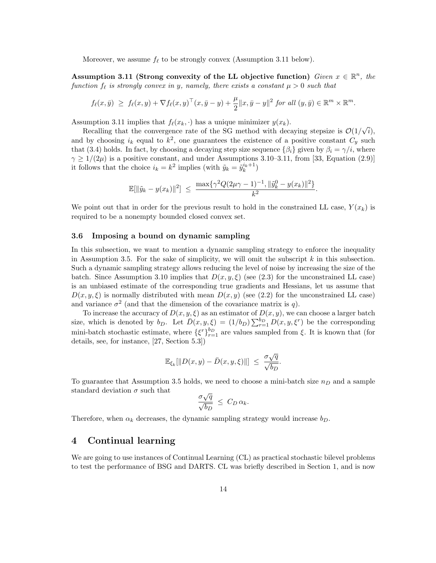Moreover, we assume  $f_\ell$  to be strongly convex (Assumption 3.11 below).

Assumption 3.11 (Strong convexity of the LL objective function) Given  $x \in \mathbb{R}^n$ , the function  $f_\ell$  is strongly convex in y, namely, there exists a constant  $\mu > 0$  such that

$$
f_{\ell}(x,\bar{y}) \geq f_{\ell}(x,y) + \nabla f_{\ell}(x,y)^{\top}(x,\bar{y}-y) + \frac{\mu}{2}||x,\bar{y}-y||^2 \text{ for all } (y,\bar{y}) \in \mathbb{R}^m \times \mathbb{R}^m.
$$

Assumption 3.11 implies that  $f_{\ell}(x_k, \cdot)$  has a unique minimizer  $y(x_k)$ .

Recalling that the convergence rate of the SG method with decaying stepsize is  $\mathcal{O}(1/\sqrt{i}),$ and by choosing  $i_k$  equal to  $k^2$ , one guarantees the existence of a positive constant  $C_y$  such that (3.4) holds. In fact, by choosing a decaying step size sequence  $\{\beta_i\}$  given by  $\beta_i = \gamma/i$ , where  $\gamma \ge 1/(2\mu)$  is a positive constant, and under Assumptions 3.10–3.11, from [33, Equation (2.9)] it follows that the choice  $i_k = k^2$  implies (with  $\tilde{y}_k = \tilde{y}_k^{i_k+1}$ )

$$
\mathbb{E}[\|\tilde{y}_k - y(x_k)\|^2] \ \leq \ \frac{\max\{\gamma^2 Q(2\mu\gamma - 1)^{-1}, \|\tilde{y}_k^0 - y(x_k)\|^2\}}{k^2}.
$$

We point out that in order for the previous result to hold in the constrained LL case,  $Y(x_k)$  is required to be a nonempty bounded closed convex set.

#### 3.6 Imposing a bound on dynamic sampling

In this subsection, we want to mention a dynamic sampling strategy to enforce the inequality in Assumption 3.5. For the sake of simplicity, we will omit the subscript  $k$  in this subsection. Such a dynamic sampling strategy allows reducing the level of noise by increasing the size of the batch. Since Assumption 3.10 implies that  $D(x, y, \xi)$  (see (2.3) for the unconstrained LL case) is an unbiased estimate of the corresponding true gradients and Hessians, let us assume that  $D(x, y, \xi)$  is normally distributed with mean  $D(x, y)$  (see (2.2) for the unconstrained LL case) and variance  $\sigma^2$  (and that the dimension of the covariance matrix is q).

To increase the accuracy of  $D(x, y, \xi)$  as an estimator of  $D(x, y)$ , we can choose a larger batch size, which is denoted by  $b_D$ . Let  $\bar{D}(x, y, \xi) = (1/b_D) \sum_{r=1}^{b_D} D(x, y, \xi^r)$  be the corresponding mini-batch stochastic estimate, where  $\{\xi^r\}_{r=1}^{b_D}$  are values sampled from  $\xi$ . It is known that (for details, see, for instance, [27, Section 5.3])

$$
\mathbb{E}_{\xi_k}[\|D(x,y)-\bar D(x,y,\xi)\|] \ \leq \ \frac{\sigma\sqrt{q}}{\sqrt{b_D}}.
$$

To guarantee that Assumption 3.5 holds, we need to choose a mini-batch size  $n<sub>D</sub>$  and a sample standard deviation  $\sigma$  such that

$$
\frac{\sigma\sqrt{q}}{\sqrt{b_D}} \ \leq \ C_D \, \alpha_k.
$$

Therefore, when  $\alpha_k$  decreases, the dynamic sampling strategy would increase  $b_D$ .

# 4 Continual learning

We are going to use instances of Continual Learning (CL) as practical stochastic bilevel problems to test the performance of BSG and DARTS. CL was briefly described in Section 1, and is now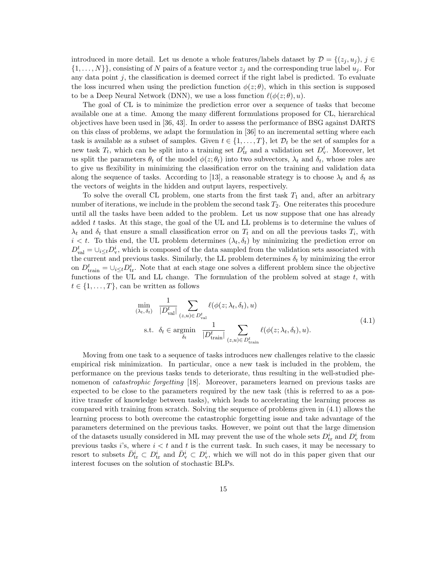introduced in more detail. Let us denote a whole features/labels dataset by  $\mathcal{D} = \{(z_i, u_i), i \in$  $\{1,\ldots,N\}\}\,$  consisting of N pairs of a feature vector  $z_j$  and the corresponding true label  $u_j$ . For any data point  $j$ , the classification is deemed correct if the right label is predicted. To evaluate the loss incurred when using the prediction function  $\phi(z;\theta)$ , which in this section is supposed to be a Deep Neural Network (DNN), we use a loss function  $\ell(\phi(z; \theta), u)$ .

The goal of CL is to minimize the prediction error over a sequence of tasks that become available one at a time. Among the many different formulations proposed for CL, hierarchical objectives have been used in [36, 43]. In order to assess the performance of BSG against DARTS on this class of problems, we adapt the formulation in [36] to an incremental setting where each task is available as a subset of samples. Given  $t \in \{1, \ldots, T\}$ , let  $\mathcal{D}_t$  be the set of samples for a new task  $T_t$ , which can be split into a training set  $D_{tr}^t$  and a validation set  $D_{v}^t$ . Moreover, let us split the parameters  $\theta_t$  of the model  $\phi(z;\theta_t)$  into two subvectors,  $\lambda_t$  and  $\delta_t$ , whose roles are to give us flexibility in minimizing the classification error on the training and validation data along the sequence of tasks. According to [13], a reasonable strategy is to choose  $\lambda_t$  and  $\delta_t$  as the vectors of weights in the hidden and output layers, respectively.

To solve the overall CL problem, one starts from the first task  $T_1$  and, after an arbitrary number of iterations, we include in the problem the second task  $T_2$ . One reiterates this procedure until all the tasks have been added to the problem. Let us now suppose that one has already added  $t$  tasks. At this stage, the goal of the UL and LL problems is to determine the values of  $\lambda_t$  and  $\delta_t$  that ensure a small classification error on  $T_t$  and on all the previous tasks  $T_i$ , with  $i < t$ . To this end, the UL problem determines  $(\lambda_t, \delta_t)$  by minimizing the prediction error on  $D_{\text{val}}^t = \bigcup_{i \leq t} D_{\text{v}}^i$ , which is composed of the data sampled from the validation sets associated with the current and previous tasks. Similarly, the LL problem determines  $\delta_t$  by minimizing the error on  $D_{\text{train}}^t = \cup_{i \leq t} D_{\text{tr}}^i$ . Note that at each stage one solves a different problem since the objective functions of the UL and LL change. The formulation of the problem solved at stage  $t$ , with  $t \in \{1, \ldots, T\}$ , can be written as follows

$$
\min_{(\lambda_t, \delta_t)} \frac{1}{|D_{\text{val}}^t|} \sum_{(z, u) \in D_{\text{val}}^t} \ell(\phi(z; \lambda_t, \delta_t), u)
$$
\n
$$
\text{s.t. } \delta_t \in \operatorname*{argmin}_{\delta_t} \frac{1}{|D_{\text{train}}^t|} \sum_{(z, u) \in D_{\text{train}}^t} \ell(\phi(z; \lambda_t, \delta_t), u). \tag{4.1}
$$

Moving from one task to a sequence of tasks introduces new challenges relative to the classic empirical risk minimization. In particular, once a new task is included in the problem, the performance on the previous tasks tends to deteriorate, thus resulting in the well-studied phenomenon of *catastrophic forgetting* [18]. Moreover, parameters learned on previous tasks are expected to be close to the parameters required by the new task (this is referred to as a positive transfer of knowledge between tasks), which leads to accelerating the learning process as compared with training from scratch. Solving the sequence of problems given in (4.1) allows the learning process to both overcome the catastrophic forgetting issue and take advantage of the parameters determined on the previous tasks. However, we point out that the large dimension of the datasets usually considered in ML may prevent the use of the whole sets  $D_{tr}^i$  and  $D_{\rm v}^i$  from previous tasks  $i$ 's, where  $i < t$  and  $t$  is the current task. In such cases, it may be necessary to resort to subsets  $\bar{D}_{tr}^i \subset D_{tr}^i$  and  $\bar{D}_{v}^i \subset D_{v}^i$ , which we will not do in this paper given that our interest focuses on the solution of stochastic BLPs.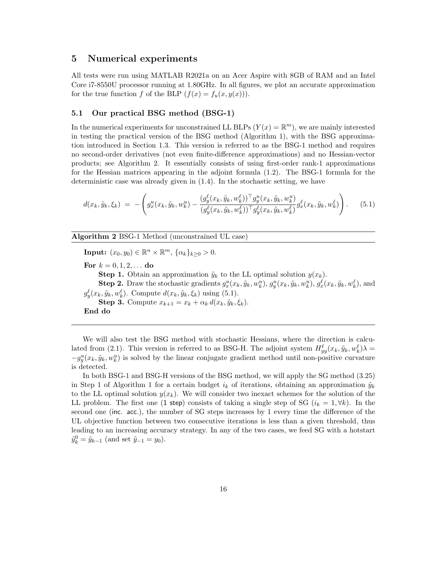### 5 Numerical experiments

All tests were run using MATLAB R2021a on an Acer Aspire with 8GB of RAM and an Intel Core i7-8550U processor running at 1.80GHz. In all figures, we plot an accurate approximation for the true function f of the BLP  $(f(x) = f_u(x, y(x)))$ .

#### 5.1 Our practical BSG method (BSG-1)

In the numerical experiments for unconstrained LL BLPs  $(Y(x) = \mathbb{R}^m)$ , we are mainly interested in testing the practical version of the BSG method (Algorithm 1), with the BSG approximation introduced in Section 1.3. This version is referred to as the BSG-1 method and requires no second-order derivatives (not even finite-difference approximations) and no Hessian-vector products; see Algorithm 2. It essentially consists of using first-order rank-1 approximations for the Hessian matrices appearing in the adjoint formula (1.2). The BSG-1 formula for the deterministic case was already given in (1.4). In the stochastic setting, we have

$$
d(x_k, \tilde{y}_k, \xi_k) = -\left(g_x^u(x_k, \tilde{y}_k, w_k^u) - \frac{(g_y^{\ell}(x_k, \tilde{y}_k, w_k^{\ell}))^\top g_y^u(x_k, \tilde{y}_k, w_k^u)}{(g_y^{\ell}(x_k, \tilde{y}_k, w_k^{\ell}))^\top g_y^{\ell}(x_k, \tilde{y}_k, w_k^{\ell})}g_x^{\ell}(x_k, \tilde{y}_k, w_k^{\ell})\right). \tag{5.1}
$$

Algorithm 2 BSG-1 Method (unconstrained UL case)

**Input:**  $(x_0, y_0) \in \mathbb{R}^n \times \mathbb{R}^m$ ,  $\{\alpha_k\}_{k \geq 0} > 0$ .

For  $k = 0, 1, 2, ...$  do

**Step 1.** Obtain an approximation  $\tilde{y}_k$  to the LL optimal solution  $y(x_k)$ .

**Step 2.** Draw the stochastic gradients  $g_x^u(x_k, \tilde{y}_k, w_k^u), g_y^u(x_k, \tilde{y}_k, w_k^u), g_x^{\ell}(x_k, \tilde{y}_k, w_k^{\ell}),$  and  $g_y^{\ell}(x_k, \tilde{y}_k, w_k^{\ell})$ . Compute  $d(x_k, \tilde{y}_k, \xi_k)$  using (5.1).

**Step 3.** Compute  $x_{k+1} = x_k + \alpha_k d(x_k, \tilde{y}_k, \xi_k)$ .

End do

We will also test the BSG method with stochastic Hessians, where the direction is calculated from (2.1). This version is referred to as BSG-H. The adjoint system  $H_{yy}^{\ell}(x_k, \tilde{y}_k, w_k^{\ell})\lambda =$  $-g_y^u(x_k, \tilde{y}_k, w_k^u)$  is solved by the linear conjugate gradient method until non-positive curvature is detected.

In both BSG-1 and BSG-H versions of the BSG method, we will apply the SG method (3.25) in Step 1 of Algorithm 1 for a certain budget  $i_k$  of iterations, obtaining an approximation  $\tilde{y}_k$ to the LL optimal solution  $y(x_k)$ . We will consider two inexact schemes for the solution of the LL problem. The first one (1 step) consists of taking a single step of SG  $(i_k = 1, \forall k)$ . In the second one (inc. acc.), the number of SG steps increases by 1 every time the difference of the UL objective function between two consecutive iterations is less than a given threshold, thus leading to an increasing accuracy strategy. In any of the two cases, we feed SG with a hotstart  $\tilde{y}_k^0 = \tilde{y}_{k-1}$  (and set  $\tilde{y}_{-1} = y_0$ ).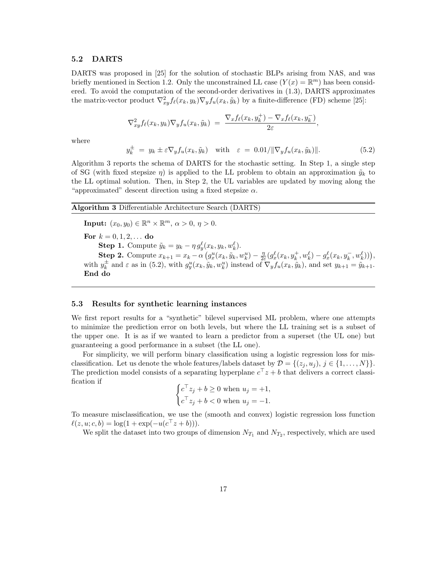#### 5.2 DARTS

DARTS was proposed in [25] for the solution of stochastic BLPs arising from NAS, and was briefly mentioned in Section 1.2. Only the unconstrained LL case  $(Y(x) = \mathbb{R}^m)$  has been considered. To avoid the computation of the second-order derivatives in (1.3), DARTS approximates the matrix-vector product  $\nabla_{xy}^2 f_\ell(x_k, y_k) \nabla_y f_u(x_k, \tilde{y}_k)$  by a finite-difference (FD) scheme [25]:

$$
\nabla_{xy}^2 f_{\ell}(x_k, y_k) \nabla_y f_u(x_k, \tilde{y}_k) = \frac{\nabla_x f_{\ell}(x_k, y_k^+) - \nabla_x f_{\ell}(x_k, y_k^-)}{2\varepsilon},
$$

where

$$
y_k^{\pm} = y_k \pm \varepsilon \nabla_y f_u(x_k, \tilde{y}_k) \quad \text{with} \quad \varepsilon = 0.01 / \|\nabla_y f_u(x_k, \tilde{y}_k)\|.
$$
 (5.2)

Algorithm 3 reports the schema of DARTS for the stochastic setting. In Step 1, a single step of SG (with fixed stepsize  $\eta$ ) is applied to the LL problem to obtain an approximation  $\tilde{y}_k$  to the LL optimal solution. Then, in Step 2, the UL variables are updated by moving along the "approximated" descent direction using a fixed stepsize  $\alpha$ .

Algorithm 3 Differentiable Architecture Search (DARTS)

**Input:**  $(x_0, y_0) \in \mathbb{R}^n \times \mathbb{R}^m$ ,  $\alpha > 0$ ,  $\eta > 0$ . For  $k = 0, 1, 2, ...$  do **Step 1.** Compute  $\tilde{y}_k = y_k - \eta g_y^{\ell}(x_k, y_k, w_k^{\ell}).$ Step 2. Compute  $x_{k+1} = x_k - \alpha \left( g_x^u(x_k, \tilde{y}_k, w_k^u) - \frac{\eta}{2k} \right)$  $\frac{\eta}{2\varepsilon}(g_x^{\ell}(x_k, y_k^+, w_k^{\ell}) - g_x^{\ell}(x_k, y_k^-, w_k^{\ell}))),$ with  $y_k^{\pm}$  and  $\varepsilon$  as in (5.2), with  $g_y^u(x_k, \tilde{y}_k, w_k^u)$  instead of  $\nabla_y f_u(x_k, \tilde{y}_k)$ , and set  $y_{k+1} = \tilde{y}_{k+1}$ . End do

#### 5.3 Results for synthetic learning instances

We first report results for a "synthetic" bilevel supervised ML problem, where one attempts to minimize the prediction error on both levels, but where the LL training set is a subset of the upper one. It is as if we wanted to learn a predictor from a superset (the UL one) but guaranteeing a good performance in a subset (the LL one).

For simplicity, we will perform binary classification using a logistic regression loss for misclassification. Let us denote the whole features/labels dataset by  $\mathcal{D} = \{(z_i, u_j), j \in \{1, \ldots, N\}\}.$ The prediction model consists of a separating hyperplane  $c^2 \cdot z + b$  that delivers a correct classification if

$$
\begin{cases} c^\top z_j + b \ge 0 \text{ when } u_j = +1, \\ c^\top z_j + b < 0 \text{ when } u_j = -1. \end{cases}
$$

To measure misclassification, we use the (smooth and convex) logistic regression loss function  $\ell(z, u; c, b) = \log(1 + \exp(-u(c^{\top}z + b))).$ 

We split the dataset into two groups of dimension  $N_{T_1}$  and  $N_{T_2}$ , respectively, which are used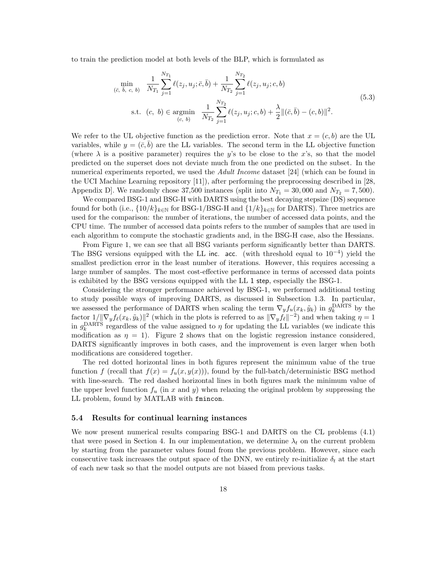to train the prediction model at both levels of the BLP, which is formulated as

$$
\min_{(\bar{c}, \bar{b}, c, b)} \frac{1}{N_{T_1}} \sum_{j=1}^{N_{T_1}} \ell(z_j, u_j; \bar{c}, \bar{b}) + \frac{1}{N_{T_2}} \sum_{j=1}^{N_{T_2}} \ell(z_j, u_j; c, b)
$$
\n
$$
\text{s.t. } (c, b) \in \operatorname*{argmin}_{(c, b)} \frac{1}{N_{T_2}} \sum_{j=1}^{N_{T_2}} \ell(z_j, u_j; c, b) + \frac{\lambda}{2} ||(\bar{c}, \bar{b}) - (c, b)||^2.
$$
\n
$$
(5.3)
$$

We refer to the UL objective function as the prediction error. Note that  $x = (c, b)$  are the UL variables, while  $y = (\bar{c}, b)$  are the LL variables. The second term in the LL objective function (where  $\lambda$  is a positive parameter) requires the y's to be close to the x's, so that the model predicted on the superset does not deviate much from the one predicted on the subset. In the numerical experiments reported, we used the *Adult Income* dataset [24] (which can be found in the UCI Machine Learning repository [11]), after performing the preprocessing described in [28, Appendix D]. We randomly chose 37,500 instances (split into  $N_{T_1} = 30,000$  and  $N_{T_2} = 7,500$ ).

We compared BSG-1 and BSG-H with DARTS using the best decaying stepsize (DS) sequence found for both (i.e.,  $\{10/k\}_{k\in\mathbb{N}}$  for BSG-1/BSG-H and  $\{1/k\}_{k\in\mathbb{N}}$  for DARTS). Three metrics are used for the comparison: the number of iterations, the number of accessed data points, and the CPU time. The number of accessed data points refers to the number of samples that are used in each algorithm to compute the stochastic gradients and, in the BSG-H case, also the Hessians.

From Figure 1, we can see that all BSG variants perform significantly better than DARTS. The BSG versions equipped with the LL inc. acc. (with threshold equal to  $10^{-4}$ ) yield the smallest prediction error in the least number of iterations. However, this requires accessing a large number of samples. The most cost-effective performance in terms of accessed data points is exhibited by the BSG versions equipped with the LL 1 step, especially the BSG-1.

Considering the stronger performance achieved by BSG-1, we performed additional testing to study possible ways of improving DARTS, as discussed in Subsection 1.3. In particular, we assessed the performance of DARTS when scaling the term  $\nabla_y f_u(x_k, \tilde{y}_k)$  in  $g_k^{\text{DARTS}}$  by the factor  $1/||\nabla_y f_\ell(x_k, \tilde{y}_k)||^2$  (which in the plots is referred to as  $||\nabla_y f_\ell||^{-2}$ ) and when taking  $\eta = 1$ in  $g_k^{\text{DARTS}}$  regardless of the value assigned to  $\eta$  for updating the LL variables (we indicate this modification as  $\eta = 1$ ). Figure 2 shows that on the logistic regression instance considered, DARTS significantly improves in both cases, and the improvement is even larger when both modifications are considered together.

The red dotted horizontal lines in both figures represent the minimum value of the true function f (recall that  $f(x) = f_u(x, y(x))$ ), found by the full-batch/deterministic BSG method with line-search. The red dashed horizontal lines in both figures mark the minimum value of the upper level function  $f_u$  (in x and y) when relaxing the original problem by suppressing the LL problem, found by MATLAB with fmincon.

#### 5.4 Results for continual learning instances

We now present numerical results comparing BSG-1 and DARTS on the CL problems (4.1) that were posed in Section 4. In our implementation, we determine  $\lambda_t$  on the current problem by starting from the parameter values found from the previous problem. However, since each consecutive task increases the output space of the DNN, we entirely re-initialize  $\delta_t$  at the start of each new task so that the model outputs are not biased from previous tasks.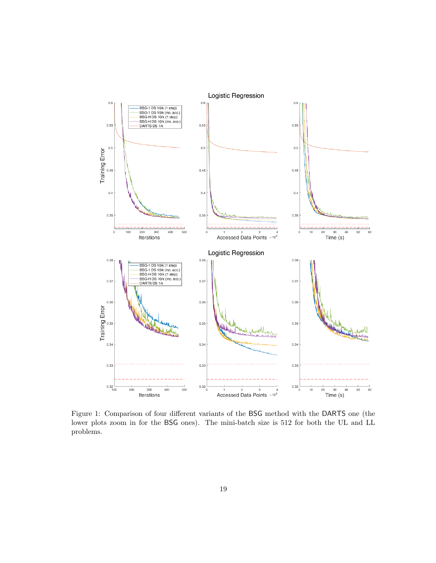

Figure 1: Comparison of four different variants of the BSG method with the DARTS one (the lower plots zoom in for the BSG ones). The mini-batch size is 512 for both the UL and LL problems.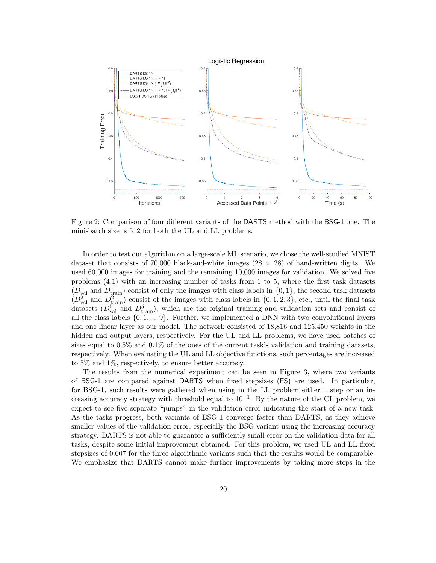

Figure 2: Comparison of four different variants of the DARTS method with the BSG-1 one. The mini-batch size is 512 for both the UL and LL problems.

In order to test our algorithm on a large-scale ML scenario, we chose the well-studied MNIST dataset that consists of 70,000 black-and-white images  $(28 \times 28)$  of hand-written digits. We used 60,000 images for training and the remaining 10,000 images for validation. We solved five problems (4.1) with an increasing number of tasks from 1 to 5, where the first task datasets  $(D_{\text{val}}^1 \text{ and } D_{\text{train}}^1)$  consist of only the images with class labels in  $\{0,1\}$ , the second task datasets  $(D_{\text{val}}^2 \text{ and } D_{\text{train}}^2)$  consist of the images with class labels in  $\{0, 1, 2, 3\}$ , etc., until the final task datasets  $(D_{val}^5$  and  $D_{train}^5)$ , which are the original training and validation sets and consist of all the class labels  $\{0, 1, ..., 9\}$ . Further, we implemented a DNN with two convolutional layers and one linear layer as our model. The network consisted of 18,816 and 125,450 weights in the hidden and output layers, respectively. For the UL and LL problems, we have used batches of sizes equal to  $0.5\%$  and  $0.1\%$  of the ones of the current task's validation and training datasets, respectively. When evaluating the UL and LL objective functions, such percentages are increased to 5% and 1%, respectively, to ensure better accuracy.

The results from the numerical experiment can be seen in Figure 3, where two variants of BSG-1 are compared against DARTS when fixed stepsizes (FS) are used. In particular, for BSG-1, such results were gathered when using in the LL problem either 1 step or an increasing accuracy strategy with threshold equal to  $10^{-1}$ . By the nature of the CL problem, we expect to see five separate "jumps" in the validation error indicating the start of a new task. As the tasks progress, both variants of BSG-1 converge faster than DARTS, as they achieve smaller values of the validation error, especially the BSG variant using the increasing accuracy strategy. DARTS is not able to guarantee a sufficiently small error on the validation data for all tasks, despite some initial improvement obtained. For this problem, we used UL and LL fixed stepsizes of 0.007 for the three algorithmic variants such that the results would be comparable. We emphasize that DARTS cannot make further improvements by taking more steps in the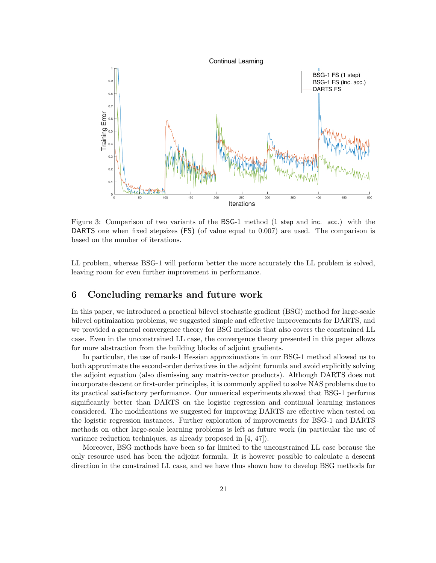

Figure 3: Comparison of two variants of the BSG-1 method (1 step and inc. acc.) with the DARTS one when fixed stepsizes (FS) (of value equal to 0.007) are used. The comparison is based on the number of iterations.

LL problem, whereas BSG-1 will perform better the more accurately the LL problem is solved, leaving room for even further improvement in performance.

# 6 Concluding remarks and future work

In this paper, we introduced a practical bilevel stochastic gradient (BSG) method for large-scale bilevel optimization problems, we suggested simple and effective improvements for DARTS, and we provided a general convergence theory for BSG methods that also covers the constrained LL case. Even in the unconstrained LL case, the convergence theory presented in this paper allows for more abstraction from the building blocks of adjoint gradients.

In particular, the use of rank-1 Hessian approximations in our BSG-1 method allowed us to both approximate the second-order derivatives in the adjoint formula and avoid explicitly solving the adjoint equation (also dismissing any matrix-vector products). Although DARTS does not incorporate descent or first-order principles, it is commonly applied to solve NAS problems due to its practical satisfactory performance. Our numerical experiments showed that BSG-1 performs significantly better than DARTS on the logistic regression and continual learning instances considered. The modifications we suggested for improving DARTS are effective when tested on the logistic regression instances. Further exploration of improvements for BSG-1 and DARTS methods on other large-scale learning problems is left as future work (in particular the use of variance reduction techniques, as already proposed in [4, 47]).

Moreover, BSG methods have been so far limited to the unconstrained LL case because the only resource used has been the adjoint formula. It is however possible to calculate a descent direction in the constrained LL case, and we have thus shown how to develop BSG methods for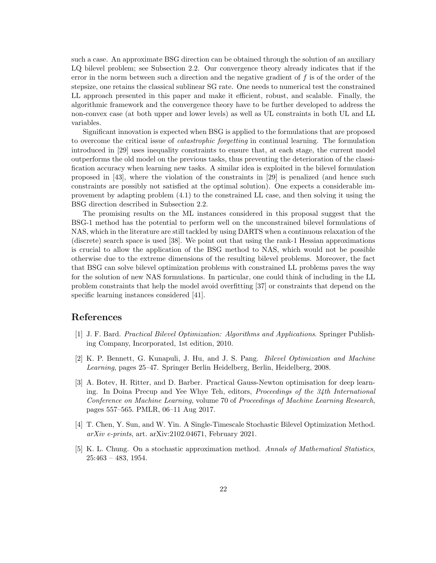such a case. An approximate BSG direction can be obtained through the solution of an auxiliary LQ bilevel problem; see Subsection 2.2. Our convergence theory already indicates that if the error in the norm between such a direction and the negative gradient of  $f$  is of the order of the stepsize, one retains the classical sublinear SG rate. One needs to numerical test the constrained LL approach presented in this paper and make it efficient, robust, and scalable. Finally, the algorithmic framework and the convergence theory have to be further developed to address the non-convex case (at both upper and lower levels) as well as UL constraints in both UL and LL variables.

Significant innovation is expected when BSG is applied to the formulations that are proposed to overcome the critical issue of catastrophic forgetting in continual learning. The formulation introduced in [29] uses inequality constraints to ensure that, at each stage, the current model outperforms the old model on the previous tasks, thus preventing the deterioration of the classification accuracy when learning new tasks. A similar idea is exploited in the bilevel formulation proposed in [43], where the violation of the constraints in [29] is penalized (and hence such constraints are possibly not satisfied at the optimal solution). One expects a considerable improvement by adapting problem (4.1) to the constrained LL case, and then solving it using the BSG direction described in Subsection 2.2.

The promising results on the ML instances considered in this proposal suggest that the BSG-1 method has the potential to perform well on the unconstrained bilevel formulations of NAS, which in the literature are still tackled by using DARTS when a continuous relaxation of the (discrete) search space is used [38]. We point out that using the rank-1 Hessian approximations is crucial to allow the application of the BSG method to NAS, which would not be possible otherwise due to the extreme dimensions of the resulting bilevel problems. Moreover, the fact that BSG can solve bilevel optimization problems with constrained LL problems paves the way for the solution of new NAS formulations. In particular, one could think of including in the LL problem constraints that help the model avoid overfitting [37] or constraints that depend on the specific learning instances considered [41].

## References

- [1] J. F. Bard. Practical Bilevel Optimization: Algorithms and Applications. Springer Publishing Company, Incorporated, 1st edition, 2010.
- [2] K. P. Bennett, G. Kunapuli, J. Hu, and J. S. Pang. Bilevel Optimization and Machine Learning, pages 25–47. Springer Berlin Heidelberg, Berlin, Heidelberg, 2008.
- [3] A. Botev, H. Ritter, and D. Barber. Practical Gauss-Newton optimisation for deep learning. In Doina Precup and Yee Whye Teh, editors, Proceedings of the 34th International Conference on Machine Learning, volume 70 of Proceedings of Machine Learning Research, pages 557–565. PMLR, 06–11 Aug 2017.
- [4] T. Chen, Y. Sun, and W. Yin. A Single-Timescale Stochastic Bilevel Optimization Method. arXiv e-prints, art. arXiv:2102.04671, February 2021.
- [5] K. L. Chung. On a stochastic approximation method. Annals of Mathematical Statistics, 25:463 – 483, 1954.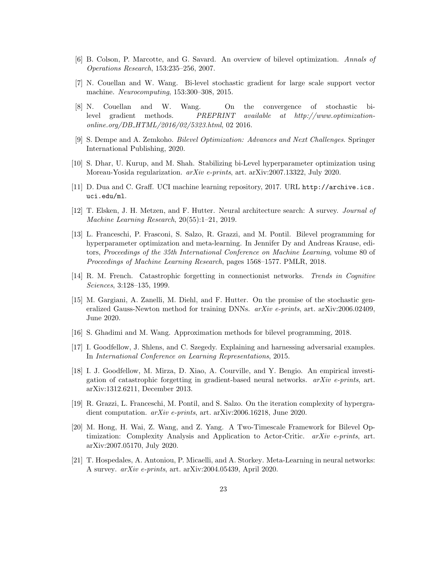- [6] B. Colson, P. Marcotte, and G. Savard. An overview of bilevel optimization. Annals of Operations Research, 153:235–256, 2007.
- [7] N. Couellan and W. Wang. Bi-level stochastic gradient for large scale support vector machine. Neurocomputing, 153:300–308, 2015.
- [8] N. Couellan and W. Wang. On the convergence of stochastic bilevel gradient methods. PREPRINT available at http://www.optimizationonline.org/DB HTML/2016/02/5323.html, 02 2016.
- [9] S. Dempe and A. Zemkoho. Bilevel Optimization: Advances and Next Challenges. Springer International Publishing, 2020.
- [10] S. Dhar, U. Kurup, and M. Shah. Stabilizing bi-Level hyperparameter optimization using Moreau-Yosida regularization. arXiv e-prints, art. arXiv:2007.13322, July 2020.
- [11] D. Dua and C. Graff. UCI machine learning repository, 2017. URL http://archive.ics. uci.edu/ml.
- [12] T. Elsken, J. H. Metzen, and F. Hutter. Neural architecture search: A survey. Journal of Machine Learning Research, 20(55):1–21, 2019.
- [13] L. Franceschi, P. Frasconi, S. Salzo, R. Grazzi, and M. Pontil. Bilevel programming for hyperparameter optimization and meta-learning. In Jennifer Dy and Andreas Krause, editors, Proceedings of the 35th International Conference on Machine Learning, volume 80 of Proceedings of Machine Learning Research, pages 1568–1577. PMLR, 2018.
- [14] R. M. French. Catastrophic forgetting in connectionist networks. Trends in Cognitive Sciences, 3:128–135, 1999.
- [15] M. Gargiani, A. Zanelli, M. Diehl, and F. Hutter. On the promise of the stochastic generalized Gauss-Newton method for training DNNs. arXiv e-prints, art. arXiv:2006.02409, June 2020.
- [16] S. Ghadimi and M. Wang. Approximation methods for bilevel programming, 2018.
- [17] I. Goodfellow, J. Shlens, and C. Szegedy. Explaining and harnessing adversarial examples. In International Conference on Learning Representations, 2015.
- [18] I. J. Goodfellow, M. Mirza, D. Xiao, A. Courville, and Y. Bengio. An empirical investigation of catastrophic forgetting in gradient-based neural networks.  $arXiv$  e-prints, art. arXiv:1312.6211, December 2013.
- [19] R. Grazzi, L. Franceschi, M. Pontil, and S. Salzo. On the iteration complexity of hypergradient computation. arXiv e-prints, art. arXiv:2006.16218, June 2020.
- [20] M. Hong, H. Wai, Z. Wang, and Z. Yang. A Two-Timescale Framework for Bilevel Optimization: Complexity Analysis and Application to Actor-Critic. arXiv e-prints, art. arXiv:2007.05170, July 2020.
- [21] T. Hospedales, A. Antoniou, P. Micaelli, and A. Storkey. Meta-Learning in neural networks: A survey. arXiv e-prints, art. arXiv:2004.05439, April 2020.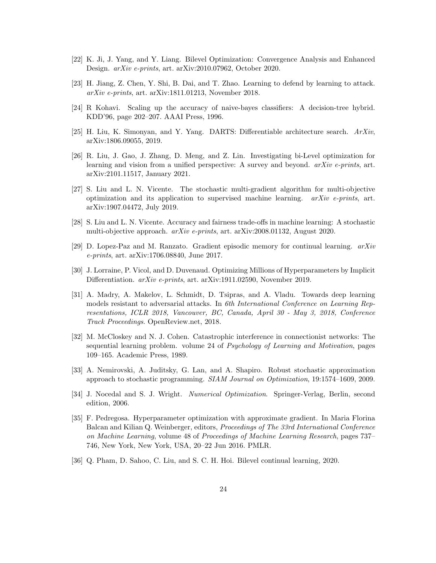- [22] K. Ji, J. Yang, and Y. Liang. Bilevel Optimization: Convergence Analysis and Enhanced Design. arXiv e-prints, art. arXiv:2010.07962, October 2020.
- [23] H. Jiang, Z. Chen, Y. Shi, B. Dai, and T. Zhao. Learning to defend by learning to attack. arXiv e-prints, art. arXiv:1811.01213, November 2018.
- [24] R Kohavi. Scaling up the accuracy of naive-bayes classifiers: A decision-tree hybrid. KDD'96, page 202–207. AAAI Press, 1996.
- [25] H. Liu, K. Simonyan, and Y. Yang. DARTS: Differentiable architecture search. ArXiv, arXiv:1806.09055, 2019.
- [26] R. Liu, J. Gao, J. Zhang, D. Meng, and Z. Lin. Investigating bi-Level optimization for learning and vision from a unified perspective: A survey and beyond. arXiv e-prints, art. arXiv:2101.11517, January 2021.
- [27] S. Liu and L. N. Vicente. The stochastic multi-gradient algorithm for multi-objective optimization and its application to supervised machine learning.  $arXiv$  e-prints, art. arXiv:1907.04472, July 2019.
- [28] S. Liu and L. N. Vicente. Accuracy and fairness trade-offs in machine learning: A stochastic multi-objective approach. arXiv e-prints, art. arXiv:2008.01132, August 2020.
- [29] D. Lopez-Paz and M. Ranzato. Gradient episodic memory for continual learning.  $arXiv$ e-prints, art. arXiv:1706.08840, June 2017.
- [30] J. Lorraine, P. Vicol, and D. Duvenaud. Optimizing Millions of Hyperparameters by Implicit Differentiation. *arXiv e-prints*, art. arXiv:1911.02590, November 2019.
- [31] A. Madry, A. Makelov, L. Schmidt, D. Tsipras, and A. Vladu. Towards deep learning models resistant to adversarial attacks. In 6th International Conference on Learning Representations, ICLR 2018, Vancouver, BC, Canada, April 30 - May 3, 2018, Conference Track Proceedings. OpenReview.net, 2018.
- [32] M. McCloskey and N. J. Cohen. Catastrophic interference in connectionist networks: The sequential learning problem. volume 24 of Psychology of Learning and Motivation, pages 109–165. Academic Press, 1989.
- [33] A. Nemirovski, A. Juditsky, G. Lan, and A. Shapiro. Robust stochastic approximation approach to stochastic programming. SIAM Journal on Optimization, 19:1574–1609, 2009.
- [34] J. Nocedal and S. J. Wright. Numerical Optimization. Springer-Verlag, Berlin, second edition, 2006.
- [35] F. Pedregosa. Hyperparameter optimization with approximate gradient. In Maria Florina Balcan and Kilian Q. Weinberger, editors, Proceedings of The 33rd International Conference on Machine Learning, volume 48 of Proceedings of Machine Learning Research, pages 737– 746, New York, New York, USA, 20–22 Jun 2016. PMLR.
- [36] Q. Pham, D. Sahoo, C. Liu, and S. C. H. Hoi. Bilevel continual learning, 2020.